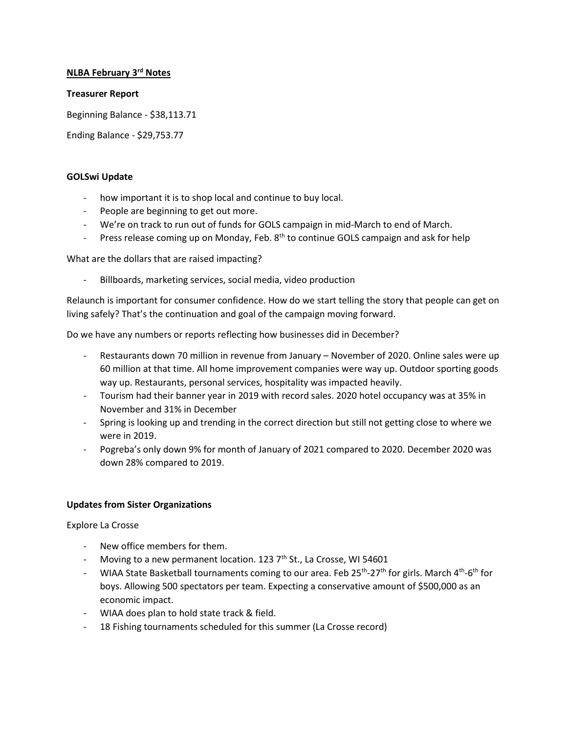# **NLBA February 3rd Notes**

#### **Treasurer Report**

Beginning Balance - \$38,113.71

Ending Balance - \$29,753.77

#### **GOLSwi Update**

- how important it is to shop local and continue to buy local.
- People are beginning to get out more.
- We're on track to run out of funds for GOLS campaign in mid-March to end of March.
- Press release coming up on Monday, Feb. 8<sup>th</sup> to continue GOLS campaign and ask for help

What are the dollars that are raised impacting?

Billboards, marketing services, social media, video production

Relaunch is important for consumer confidence. How do we start telling the story that people can get on living safely? That's the continuation and goal of the campaign moving forward.

Do we have any numbers or reports reflecting how businesses did in December?

- Restaurants down 70 million in revenue from January November of 2020. Online sales were up 60 million at that time. All home improvement companies were way up. Outdoor sporting goods way up. Restaurants, personal services, hospitality was impacted heavily.
- Tourism had their banner year in 2019 with record sales. 2020 hotel occupancy was at 35% in November and 31% in December
- Spring is looking up and trending in the correct direction but still not getting close to where we were in 2019.
- Pogreba's only down 9% for month of January of 2021 compared to 2020. December 2020 was down 28% compared to 2019.

## **Updates from Sister Organizations**

Explore La Crosse

- New office members for them.
- Moving to a new permanent location. 123  $7<sup>th</sup>$  St., La Crosse, WI 54601
- WIAA State Basketball tournaments coming to our area. Feb 25<sup>th</sup>-27<sup>th</sup> for girls. March 4<sup>th</sup>-6<sup>th</sup> for boys. Allowing 500 spectators per team. Expecting a conservative amount of \$500,000 as an economic impact.
- WIAA does plan to hold state track & field.
- 18 Fishing tournaments scheduled for this summer (La Crosse record)